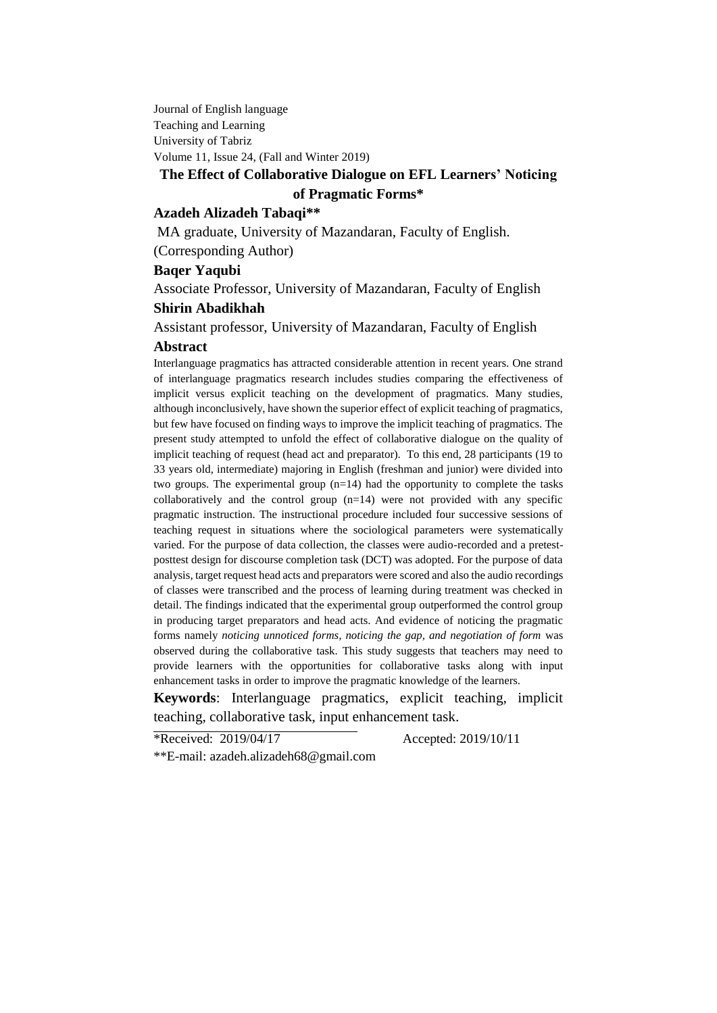Journal of English language Teaching and Learning University of Tabriz Volume 11, Issue 24, (Fall and Winter 2019)

# **The Effect of Collaborative Dialogue on EFL Learners' Noticing of Pragmatic Forms\***

# **Azadeh Alizadeh Tabaqi\*\***

MA graduate, University of Mazandaran, Faculty of English.

(Corresponding Author)

# **Baqer Yaqubi**

Associate Professor, University of Mazandaran, Faculty of English

#### **Shirin Abadikhah**

Assistant professor, University of Mazandaran, Faculty of English

#### **Abstract**

Interlanguage pragmatics has attracted considerable attention in recent years. One strand of interlanguage pragmatics research includes studies comparing the effectiveness of implicit versus explicit teaching on the development of pragmatics. Many studies, although inconclusively, have shown the superior effect of explicit teaching of pragmatics, but few have focused on finding ways to improve the implicit teaching of pragmatics. The present study attempted to unfold the effect of collaborative dialogue on the quality of implicit teaching of request (head act and preparator). To this end, 28 participants (19 to 33 years old, intermediate) majoring in English (freshman and junior) were divided into two groups. The experimental group (n=14) had the opportunity to complete the tasks collaboratively and the control group  $(n=14)$  were not provided with any specific pragmatic instruction. The instructional procedure included four successive sessions of teaching request in situations where the sociological parameters were systematically varied. For the purpose of data collection, the classes were audio-recorded and a pretestposttest design for discourse completion task (DCT) was adopted. For the purpose of data analysis, target request head acts and preparators were scored and also the audio recordings of classes were transcribed and the process of learning during treatment was checked in detail. The findings indicated that the experimental group outperformed the control group in producing target preparators and head acts. And evidence of noticing the pragmatic forms namely *noticing unnoticed forms, noticing the gap, and negotiation of form* was observed during the collaborative task. This study suggests that teachers may need to provide learners with the opportunities for collaborative tasks along with input enhancement tasks in order to improve the pragmatic knowledge of the learners.

**Keywords**: Interlanguage pragmatics, explicit teaching, implicit teaching, collaborative task, input enhancement task.

\*Received: 2019/04/17 Accepted: 2019/10/11

\*\*E-mail: [azadeh.alizadeh68@gmail.com](mailto:azadeh.alizadeh68@gmail.com)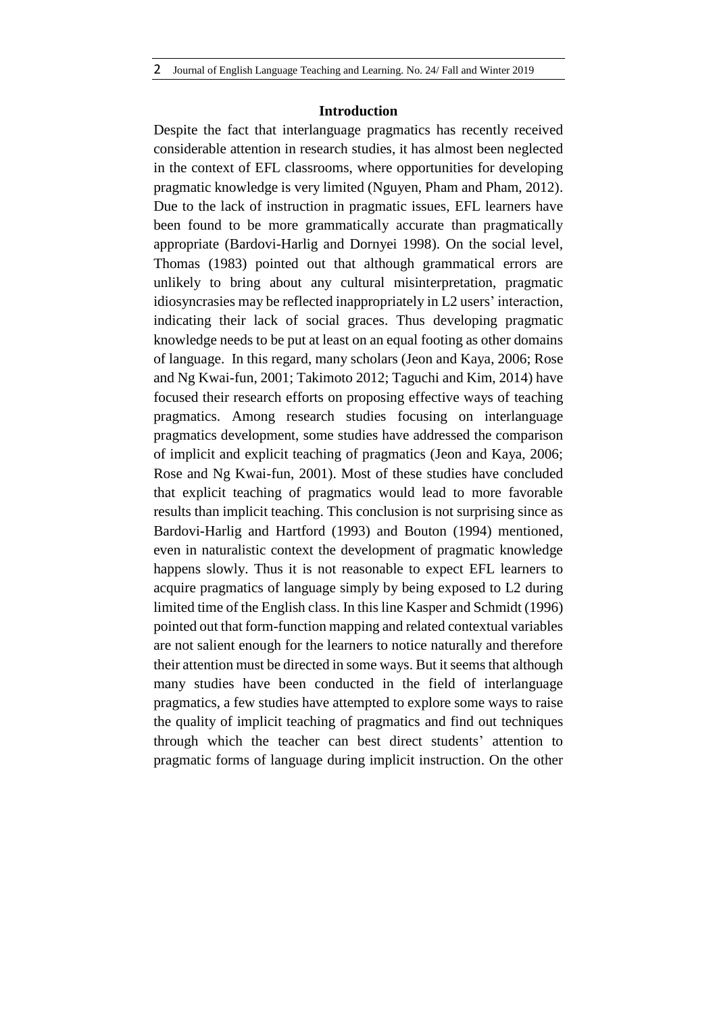## **Introduction**

Despite the fact that interlanguage pragmatics has recently received considerable attention in research studies, it has almost been neglected in the context of EFL classrooms, where opportunities for developing pragmatic knowledge is very limited (Nguyen, Pham and Pham, 2012). Due to the lack of instruction in pragmatic issues, EFL learners have been found to be more grammatically accurate than pragmatically appropriate (Bardovi-Harlig and Dornyei 1998). On the social level, Thomas (1983) pointed out that although grammatical errors are unlikely to bring about any cultural misinterpretation, pragmatic idiosyncrasies may be reflected inappropriately in L2 users' interaction, indicating their lack of social graces. Thus developing pragmatic knowledge needs to be put at least on an equal footing as other domains of language. In this regard, many scholars (Jeon and Kaya, 2006; Rose and Ng Kwai-fun, 2001; Takimoto 2012; Taguchi and Kim, 2014) have focused their research efforts on proposing effective ways of teaching pragmatics. Among research studies focusing on interlanguage pragmatics development, some studies have addressed the comparison of implicit and explicit teaching of pragmatics (Jeon and Kaya, 2006; Rose and Ng Kwai-fun, 2001). Most of these studies have concluded that explicit teaching of pragmatics would lead to more favorable results than implicit teaching. This conclusion is not surprising since as Bardovi-Harlig and Hartford (1993) and Bouton (1994) mentioned, even in naturalistic context the development of pragmatic knowledge happens slowly. Thus it is not reasonable to expect EFL learners to acquire pragmatics of language simply by being exposed to L2 during limited time of the English class. In this line Kasper and Schmidt (1996) pointed out that form-function mapping and related contextual variables are not salient enough for the learners to notice naturally and therefore their attention must be directed in some ways. But it seems that although many studies have been conducted in the field of interlanguage pragmatics, a few studies have attempted to explore some ways to raise the quality of implicit teaching of pragmatics and find out techniques through which the teacher can best direct students' attention to pragmatic forms of language during implicit instruction. On the other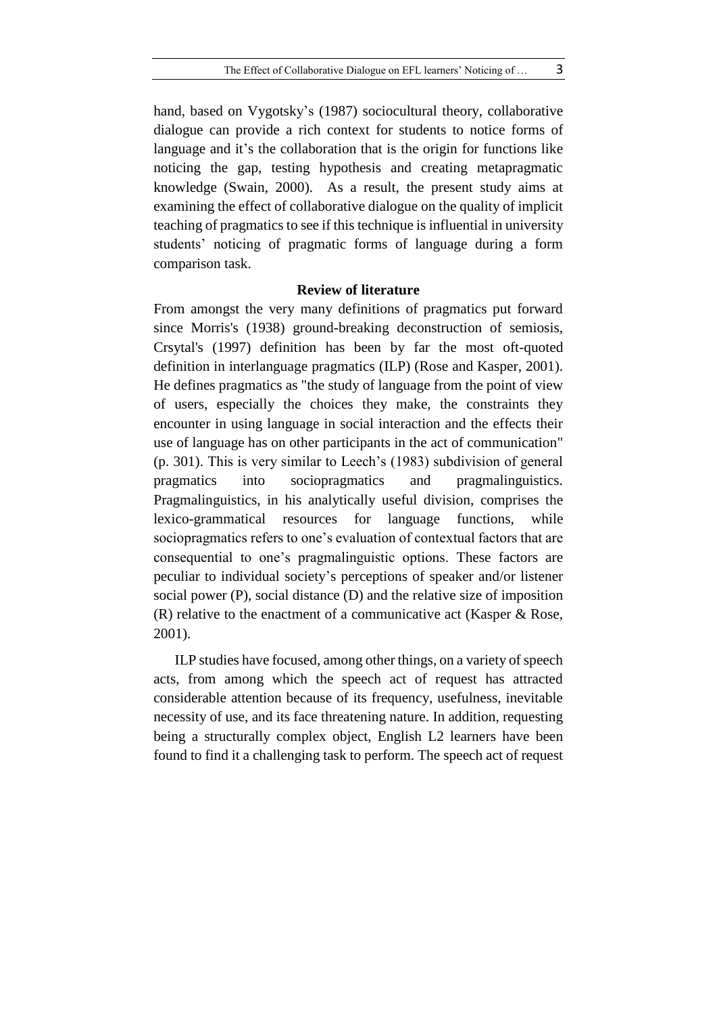hand, based on Vygotsky's (1987) sociocultural theory, collaborative dialogue can provide a rich context for students to notice forms of language and it's the collaboration that is the origin for functions like noticing the gap, testing hypothesis and creating metapragmatic knowledge (Swain, 2000). As a result, the present study aims at examining the effect of collaborative dialogue on the quality of implicit teaching of pragmatics to see if this technique is influential in university students' noticing of pragmatic forms of language during a form comparison task.

### **Review of literature**

From amongst the very many definitions of pragmatics put forward since Morris's (1938) ground-breaking deconstruction of semiosis, Crsytal's (1997) definition has been by far the most oft-quoted definition in interlanguage pragmatics (ILP) (Rose and Kasper, 2001). He defines pragmatics as "the study of language from the point of view of users, especially the choices they make, the constraints they encounter in using language in social interaction and the effects their use of language has on other participants in the act of communication" (p. 301). This is very similar to Leech's (1983) subdivision of general pragmatics into sociopragmatics and pragmalinguistics. Pragmalinguistics, in his analytically useful division, comprises the lexico-grammatical resources for language functions, while sociopragmatics refers to one's evaluation of contextual factors that are consequential to one's pragmalinguistic options. These factors are peculiar to individual society's perceptions of speaker and/or listener social power (P), social distance (D) and the relative size of imposition (R) relative to the enactment of a communicative act (Kasper & Rose, 2001).

ILP studies have focused, among other things, on a variety of speech acts, from among which the speech act of request has attracted considerable attention because of its frequency, usefulness, inevitable necessity of use, and its face threatening nature. In addition, requesting being a structurally complex object, English L2 learners have been found to find it a challenging task to perform. The speech act of request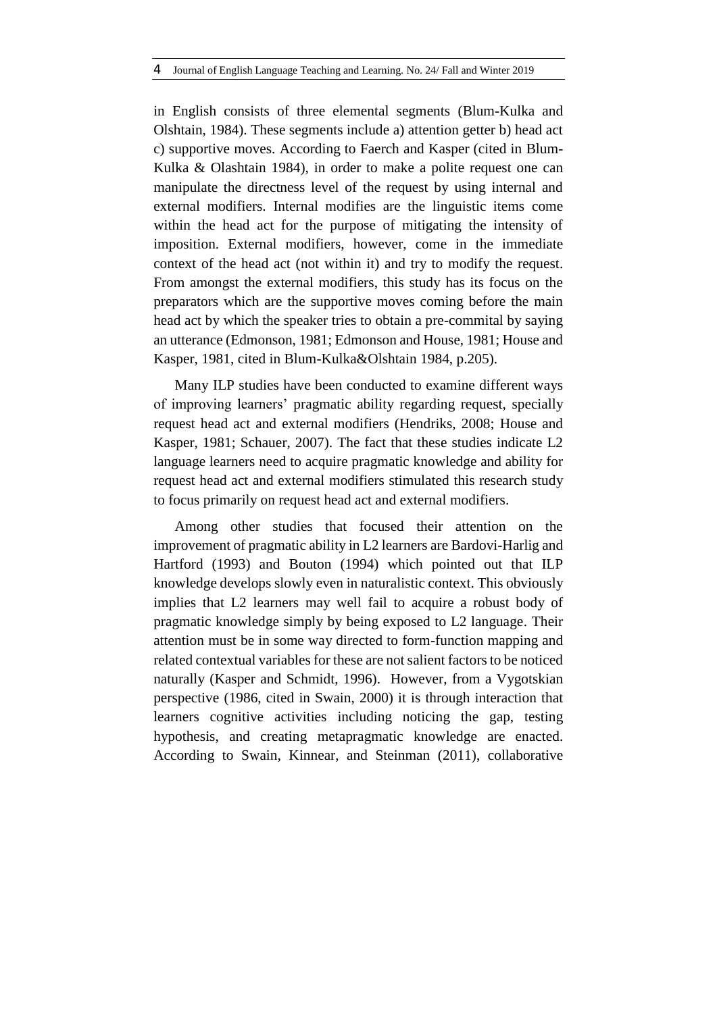in English consists of three elemental segments (Blum-Kulka and Olshtain, 1984). These segments include a) attention getter b) head act c) supportive moves. According to Faerch and Kasper (cited in Blum-Kulka & Olashtain 1984), in order to make a polite request one can manipulate the directness level of the request by using internal and external modifiers. Internal modifies are the linguistic items come within the head act for the purpose of mitigating the intensity of imposition. External modifiers, however, come in the immediate context of the head act (not within it) and try to modify the request. From amongst the external modifiers, this study has its focus on the preparators which are the supportive moves coming before the main head act by which the speaker tries to obtain a pre-commital by saying an utterance (Edmonson, 1981; Edmonson and House, 1981; House and Kasper, 1981, cited in Blum-Kulka&Olshtain 1984, p.205).

Many ILP studies have been conducted to examine different ways of improving learners' pragmatic ability regarding request, specially request head act and external modifiers (Hendriks, 2008; House and Kasper, 1981; Schauer, 2007). The fact that these studies indicate L2 language learners need to acquire pragmatic knowledge and ability for request head act and external modifiers stimulated this research study to focus primarily on request head act and external modifiers.

Among other studies that focused their attention on the improvement of pragmatic ability in L2 learners are Bardovi-Harlig and Hartford (1993) and Bouton (1994) which pointed out that ILP knowledge develops slowly even in naturalistic context. This obviously implies that L2 learners may well fail to acquire a robust body of pragmatic knowledge simply by being exposed to L2 language. Their attention must be in some way directed to form-function mapping and related contextual variables for these are not salient factors to be noticed naturally (Kasper and Schmidt, 1996). However, from a Vygotskian perspective (1986, cited in Swain, 2000) it is through interaction that learners cognitive activities including noticing the gap, testing hypothesis, and creating metapragmatic knowledge are enacted. According to Swain, Kinnear, and Steinman (2011), collaborative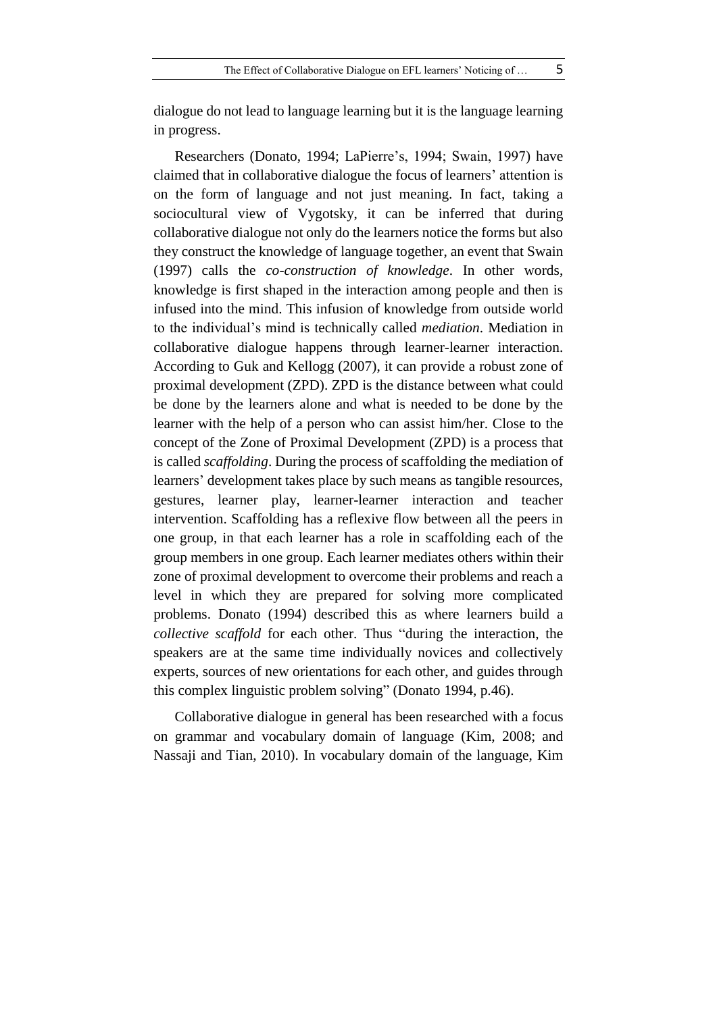dialogue do not lead to language learning but it is the language learning in progress.

Researchers (Donato, 1994; LaPierre's, 1994; Swain, 1997) have claimed that in collaborative dialogue the focus of learners' attention is on the form of language and not just meaning. In fact, taking a sociocultural view of Vygotsky, it can be inferred that during collaborative dialogue not only do the learners notice the forms but also they construct the knowledge of language together, an event that Swain (1997) calls the *co-construction of knowledge*. In other words, knowledge is first shaped in the interaction among people and then is infused into the mind. This infusion of knowledge from outside world to the individual's mind is technically called *mediation*. Mediation in collaborative dialogue happens through learner-learner interaction. According to Guk and Kellogg (2007), it can provide a robust zone of proximal development (ZPD). ZPD is the distance between what could be done by the learners alone and what is needed to be done by the learner with the help of a person who can assist him/her. Close to the concept of the Zone of Proximal Development (ZPD) is a process that is called *scaffolding*. During the process of scaffolding the mediation of learners' development takes place by such means as tangible resources, gestures, learner play, learner-learner interaction and teacher intervention. Scaffolding has a reflexive flow between all the peers in one group, in that each learner has a role in scaffolding each of the group members in one group. Each learner mediates others within their zone of proximal development to overcome their problems and reach a level in which they are prepared for solving more complicated problems. Donato (1994) described this as where learners build a *collective scaffold* for each other. Thus "during the interaction, the speakers are at the same time individually novices and collectively experts, sources of new orientations for each other, and guides through this complex linguistic problem solving" (Donato 1994, p.46).

Collaborative dialogue in general has been researched with a focus on grammar and vocabulary domain of language (Kim, 2008; and Nassaji and Tian, 2010). In vocabulary domain of the language, Kim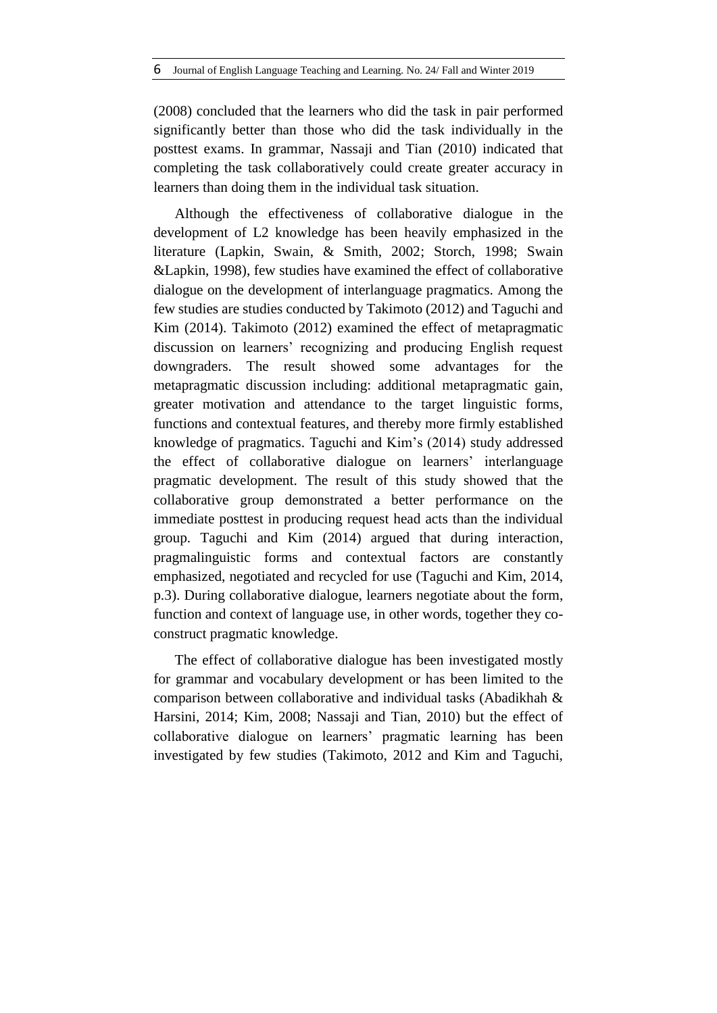(2008) concluded that the learners who did the task in pair performed significantly better than those who did the task individually in the posttest exams. In grammar, Nassaji and Tian (2010) indicated that completing the task collaboratively could create greater accuracy in learners than doing them in the individual task situation.

Although the effectiveness of collaborative dialogue in the development of L2 knowledge has been heavily emphasized in the literature (Lapkin, Swain, & Smith, 2002; Storch, 1998; Swain &Lapkin, 1998), few studies have examined the effect of collaborative dialogue on the development of interlanguage pragmatics. Among the few studies are studies conducted by Takimoto (2012) and Taguchi and Kim (2014). Takimoto (2012) examined the effect of metapragmatic discussion on learners' recognizing and producing English request downgraders. The result showed some advantages for the metapragmatic discussion including: additional metapragmatic gain, greater motivation and attendance to the target linguistic forms, functions and contextual features, and thereby more firmly established knowledge of pragmatics. Taguchi and Kim's (2014) study addressed the effect of collaborative dialogue on learners' interlanguage pragmatic development. The result of this study showed that the collaborative group demonstrated a better performance on the immediate posttest in producing request head acts than the individual group. Taguchi and Kim (2014) argued that during interaction, pragmalinguistic forms and contextual factors are constantly emphasized, negotiated and recycled for use (Taguchi and Kim, 2014, p.3). During collaborative dialogue, learners negotiate about the form, function and context of language use, in other words, together they coconstruct pragmatic knowledge.

The effect of collaborative dialogue has been investigated mostly for grammar and vocabulary development or has been limited to the comparison between collaborative and individual tasks (Abadikhah & Harsini, 2014; Kim, 2008; Nassaji and Tian, 2010) but the effect of collaborative dialogue on learners' pragmatic learning has been investigated by few studies (Takimoto, 2012 and Kim and Taguchi,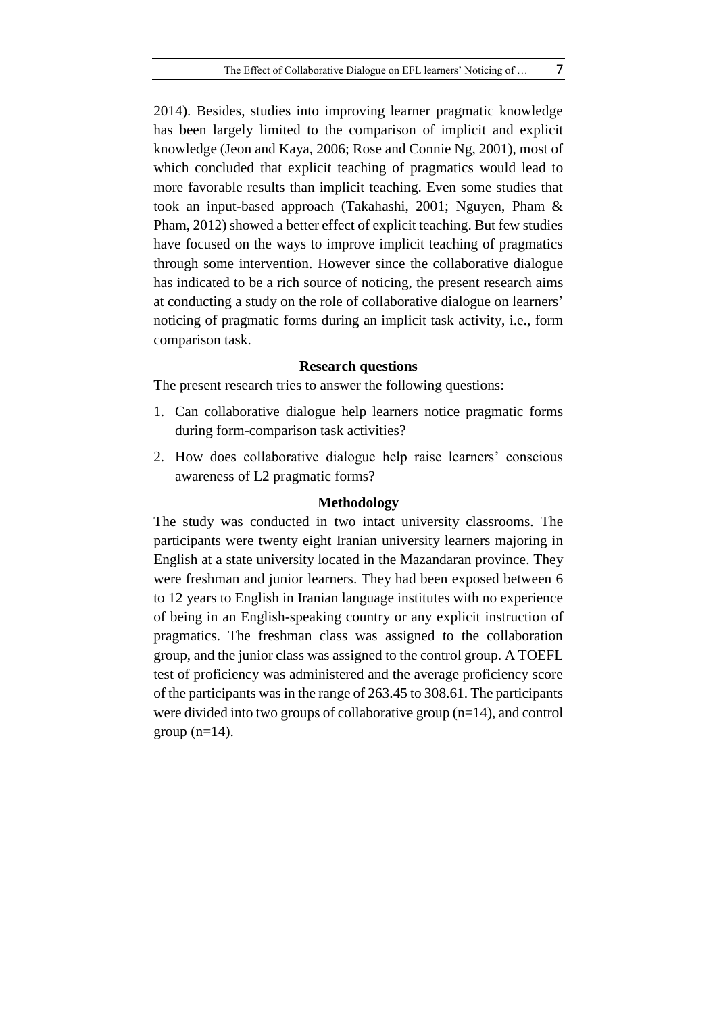2014). Besides, studies into improving learner pragmatic knowledge has been largely limited to the comparison of implicit and explicit knowledge (Jeon and Kaya, 2006; Rose and Connie Ng, 2001), most of which concluded that explicit teaching of pragmatics would lead to more favorable results than implicit teaching. Even some studies that took an input-based approach (Takahashi, 2001; Nguyen, Pham & Pham, 2012) showed a better effect of explicit teaching. But few studies have focused on the ways to improve implicit teaching of pragmatics through some intervention. However since the collaborative dialogue has indicated to be a rich source of noticing, the present research aims at conducting a study on the role of collaborative dialogue on learners' noticing of pragmatic forms during an implicit task activity, i.e., form comparison task.

#### **Research questions**

The present research tries to answer the following questions:

- 1. Can collaborative dialogue help learners notice pragmatic forms during form-comparison task activities?
- 2. How does collaborative dialogue help raise learners' conscious awareness of L2 pragmatic forms?

# **Methodology**

The study was conducted in two intact university classrooms. The participants were twenty eight Iranian university learners majoring in English at a state university located in the Mazandaran province. They were freshman and junior learners. They had been exposed between 6 to 12 years to English in Iranian language institutes with no experience of being in an English-speaking country or any explicit instruction of pragmatics. The freshman class was assigned to the collaboration group, and the junior class was assigned to the control group. A TOEFL test of proficiency was administered and the average proficiency score of the participants was in the range of 263.45 to 308.61. The participants were divided into two groups of collaborative group (n=14), and control group  $(n=14)$ .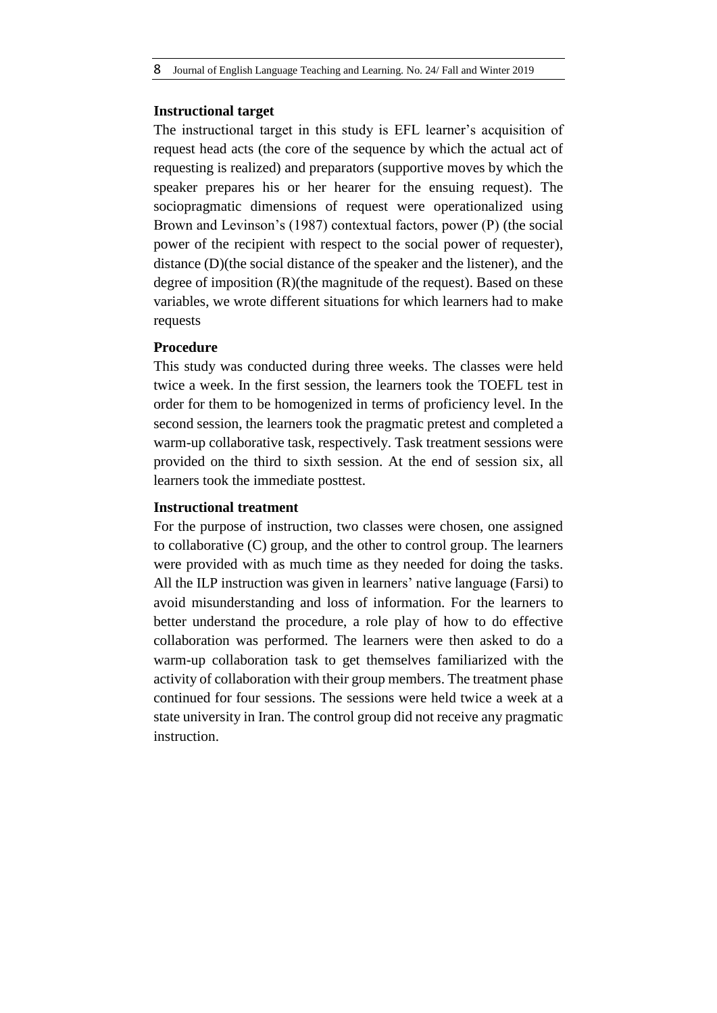# **Instructional target**

The instructional target in this study is EFL learner's acquisition of request head acts (the core of the sequence by which the actual act of requesting is realized) and preparators (supportive moves by which the speaker prepares his or her hearer for the ensuing request). The sociopragmatic dimensions of request were operationalized using Brown and Levinson's (1987) contextual factors, power (P) (the social power of the recipient with respect to the social power of requester), distance (D)(the social distance of the speaker and the listener), and the degree of imposition  $(R)$  (the magnitude of the request). Based on these variables, we wrote different situations for which learners had to make requests

# **Procedure**

This study was conducted during three weeks. The classes were held twice a week. In the first session, the learners took the TOEFL test in order for them to be homogenized in terms of proficiency level. In the second session, the learners took the pragmatic pretest and completed a warm-up collaborative task, respectively. Task treatment sessions were provided on the third to sixth session. At the end of session six, all learners took the immediate posttest.

# **Instructional treatment**

For the purpose of instruction, two classes were chosen, one assigned to collaborative (C) group, and the other to control group. The learners were provided with as much time as they needed for doing the tasks. All the ILP instruction was given in learners' native language (Farsi) to avoid misunderstanding and loss of information. For the learners to better understand the procedure, a role play of how to do effective collaboration was performed. The learners were then asked to do a warm-up collaboration task to get themselves familiarized with the activity of collaboration with their group members. The treatment phase continued for four sessions. The sessions were held twice a week at a state university in Iran. The control group did not receive any pragmatic instruction.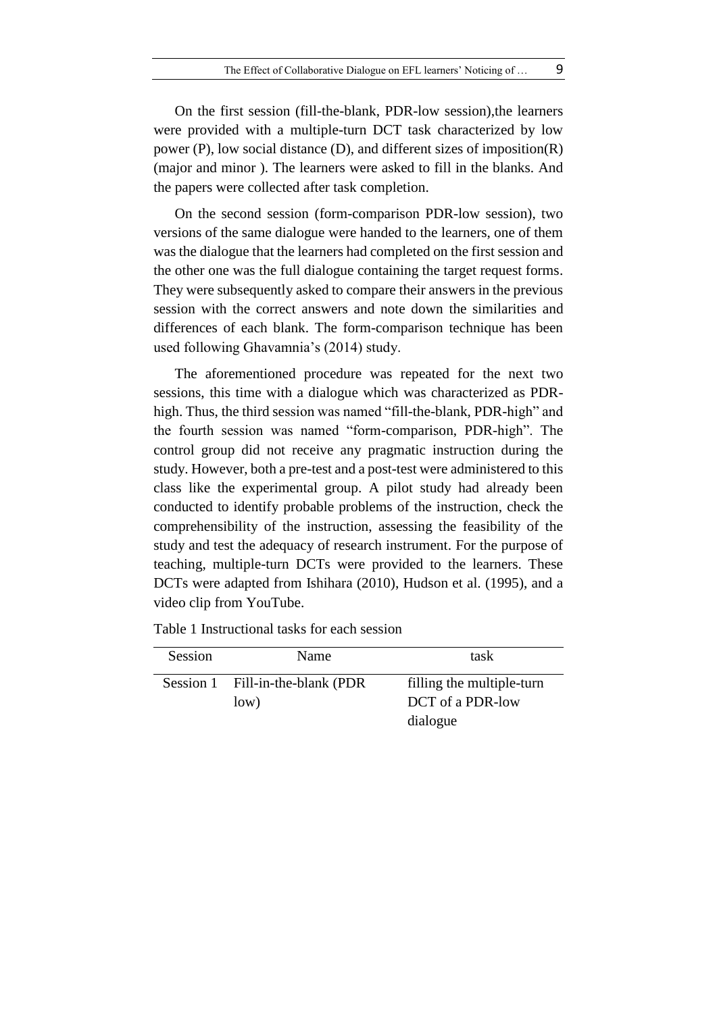On the first session (fill-the-blank, PDR-low session),the learners were provided with a multiple-turn DCT task characterized by low power (P), low social distance (D), and different sizes of imposition(R) (major and minor ). The learners were asked to fill in the blanks. And the papers were collected after task completion.

On the second session (form-comparison PDR-low session), two versions of the same dialogue were handed to the learners, one of them was the dialogue that the learners had completed on the first session and the other one was the full dialogue containing the target request forms. They were subsequently asked to compare their answers in the previous session with the correct answers and note down the similarities and differences of each blank. The form-comparison technique has been used following Ghavamnia's (2014) study.

The aforementioned procedure was repeated for the next two sessions, this time with a dialogue which was characterized as PDRhigh. Thus, the third session was named "fill-the-blank, PDR-high" and the fourth session was named "form-comparison, PDR-high". The control group did not receive any pragmatic instruction during the study. However, both a pre-test and a post-test were administered to this class like the experimental group. A pilot study had already been conducted to identify probable problems of the instruction, check the comprehensibility of the instruction, assessing the feasibility of the study and test the adequacy of research instrument. For the purpose of teaching, multiple-turn DCTs were provided to the learners. These DCTs were adapted from Ishihara (2010), Hudson et al. (1995), and a video clip from YouTube.

| Session | Name                             | task                      |
|---------|----------------------------------|---------------------------|
|         | Session 1 Fill-in-the-blank (PDR | filling the multiple-turn |
|         | low)                             | DCT of a PDR-low          |
|         |                                  | dialogue                  |

Table 1 Instructional tasks for each session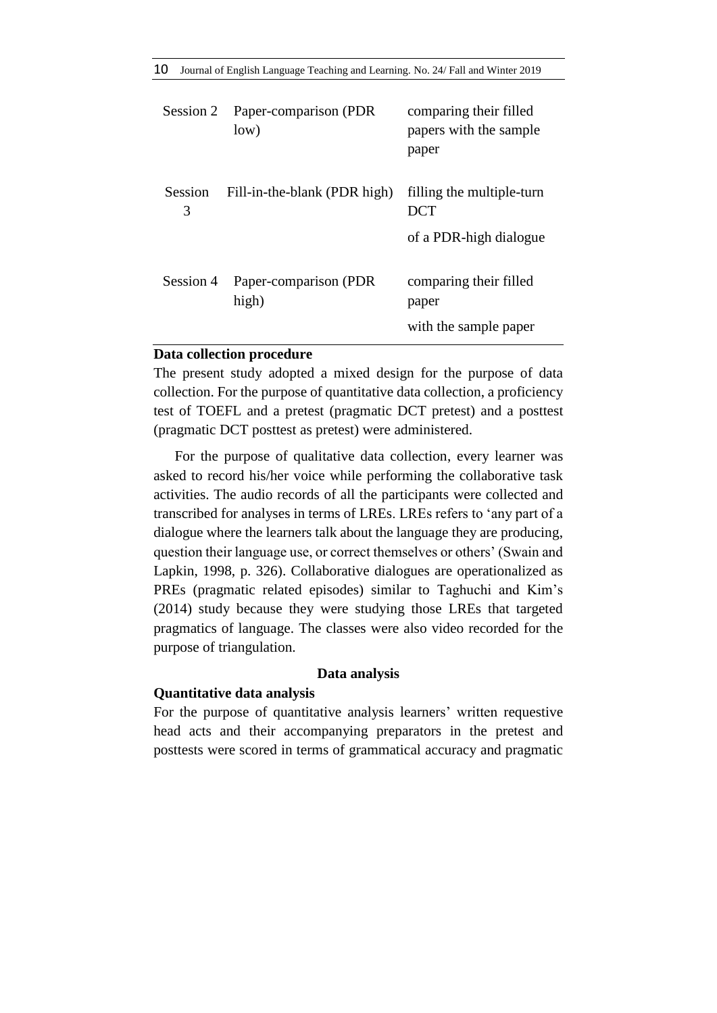| Session 2    | Paper-comparison (PDR)<br>low)  | comparing their filled<br>papers with the sample<br>paper |
|--------------|---------------------------------|-----------------------------------------------------------|
| Session<br>3 | Fill-in-the-blank (PDR high)    | filling the multiple-turn<br><b>DCT</b>                   |
|              |                                 | of a PDR-high dialogue                                    |
| Session 4    | Paper-comparison (PDR)<br>high) | comparing their filled<br>paper                           |
|              |                                 | with the sample paper                                     |

## **Data collection procedure**

The present study adopted a mixed design for the purpose of data collection. For the purpose of quantitative data collection, a proficiency test of TOEFL and a pretest (pragmatic DCT pretest) and a posttest (pragmatic DCT posttest as pretest) were administered.

For the purpose of qualitative data collection, every learner was asked to record his/her voice while performing the collaborative task activities. The audio records of all the participants were collected and transcribed for analyses in terms of LREs. LREs refers to 'any part of a dialogue where the learners talk about the language they are producing, question their language use, or correct themselves or others' (Swain and Lapkin, 1998, p. 326). Collaborative dialogues are operationalized as PREs (pragmatic related episodes) similar to Taghuchi and Kim's (2014) study because they were studying those LREs that targeted pragmatics of language. The classes were also video recorded for the purpose of triangulation.

#### **Data analysis**

#### **Quantitative data analysis**

For the purpose of quantitative analysis learners' written requestive head acts and their accompanying preparators in the pretest and posttests were scored in terms of grammatical accuracy and pragmatic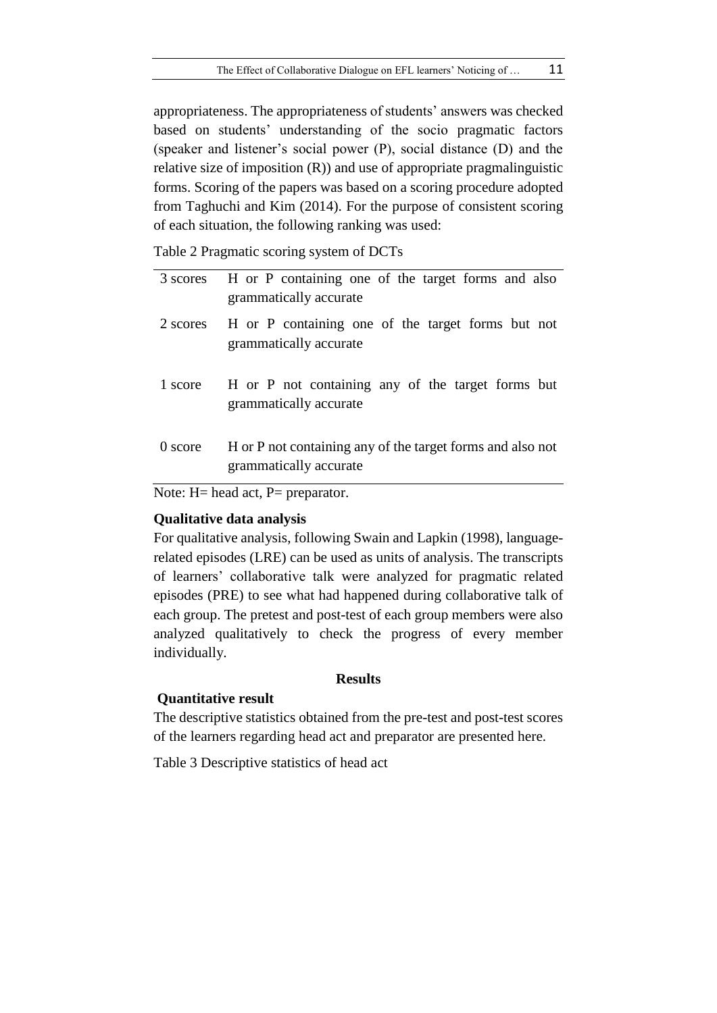appropriateness. The appropriateness of students' answers was checked based on students' understanding of the socio pragmatic factors (speaker and listener's social power (P), social distance (D) and the relative size of imposition (R)) and use of appropriate pragmalinguistic forms. Scoring of the papers was based on a scoring procedure adopted from Taghuchi and Kim (2014). For the purpose of consistent scoring of each situation, the following ranking was used:

Table 2 Pragmatic scoring system of DCTs

| 3 scores  | H or P containing one of the target forms and also<br>grammatically accurate         |
|-----------|--------------------------------------------------------------------------------------|
| 2 scores  | H or P containing one of the target forms but not<br>grammatically accurate          |
| 1 score   | H or P not containing any of the target forms but<br>grammatically accurate          |
| $0$ score | H or P not containing any of the target forms and also not<br>grammatically accurate |

Note: H= head act, P= preparator.

# **Qualitative data analysis**

For qualitative analysis, following Swain and Lapkin (1998), languagerelated episodes (LRE) can be used as units of analysis. The transcripts of learners' collaborative talk were analyzed for pragmatic related episodes (PRE) to see what had happened during collaborative talk of each group. The pretest and post-test of each group members were also analyzed qualitatively to check the progress of every member individually.

# **Results**

# **Quantitative result**

The descriptive statistics obtained from the pre-test and post-test scores of the learners regarding head act and preparator are presented here.

Table 3 Descriptive statistics of head act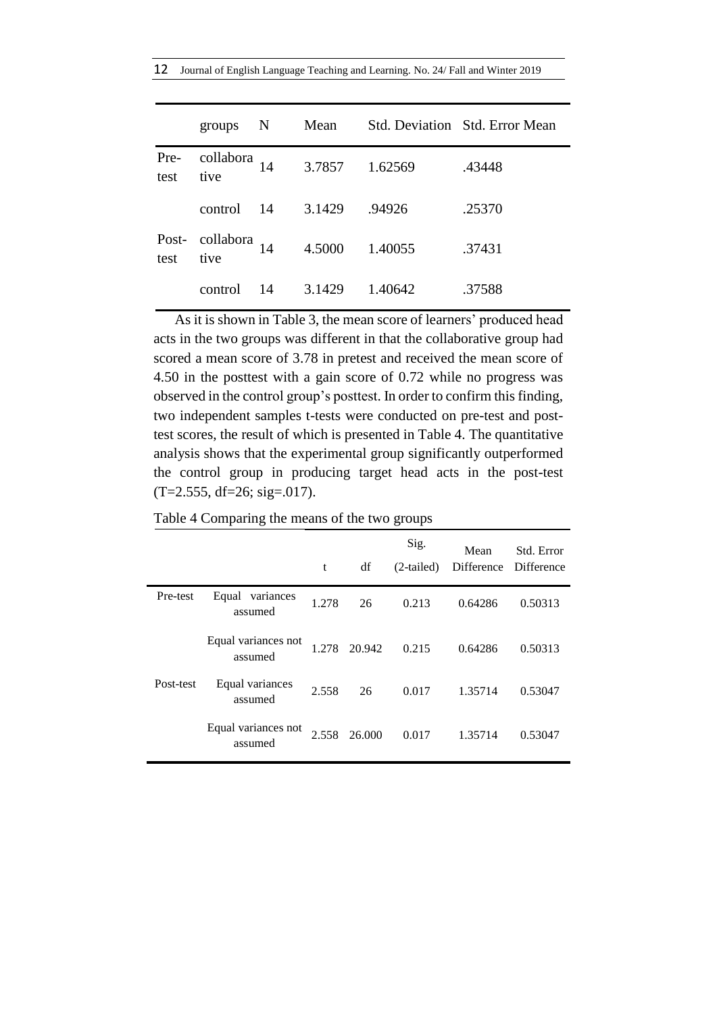|  | 12 Journal of English Language Teaching and Learning. No. 24/ Fall and Winter 2019 |  |  |  |
|--|------------------------------------------------------------------------------------|--|--|--|
|--|------------------------------------------------------------------------------------|--|--|--|

|               | groups            | N  | Mean   |         | Std. Deviation Std. Error Mean |
|---------------|-------------------|----|--------|---------|--------------------------------|
| Pre-<br>test  | collabora<br>tive | 14 | 3.7857 | 1.62569 | .43448                         |
|               | control           | 14 | 3.1429 | .94926  | .25370                         |
| Post-<br>test | collabora<br>tive | 14 | 4.5000 | 1.40055 | .37431                         |
|               | control           | 14 | 3.1429 | 1.40642 | .37588                         |

As it is shown in Table 3, the mean score of learners' produced head acts in the two groups was different in that the collaborative group had scored a mean score of 3.78 in pretest and received the mean score of 4.50 in the posttest with a gain score of 0.72 while no progress was observed in the control group's posttest. In order to confirm this finding, two independent samples t-tests were conducted on pre-test and posttest scores, the result of which is presented in Table 4. The quantitative analysis shows that the experimental group significantly outperformed the control group in producing target head acts in the post-test (T=2.555, df=26; sig=.017).

|           |                                | t     | df     | Sig.<br>$(2-tailed)$ | Mean    | Std. Error<br>Difference Difference |
|-----------|--------------------------------|-------|--------|----------------------|---------|-------------------------------------|
| Pre-test  | Equal variances<br>assumed     | 1.278 | 26     | 0.213                | 0.64286 | 0.50313                             |
|           | Equal variances not<br>assumed | 1.278 | 20.942 | 0.215                | 0.64286 | 0.50313                             |
| Post-test | Equal variances<br>assumed     | 2.558 | 26     | 0.017                | 1.35714 | 0.53047                             |
|           | Equal variances not<br>assumed | 2.558 | 26.000 | 0.017                | 1.35714 | 0.53047                             |

Table 4 Comparing the means of the two groups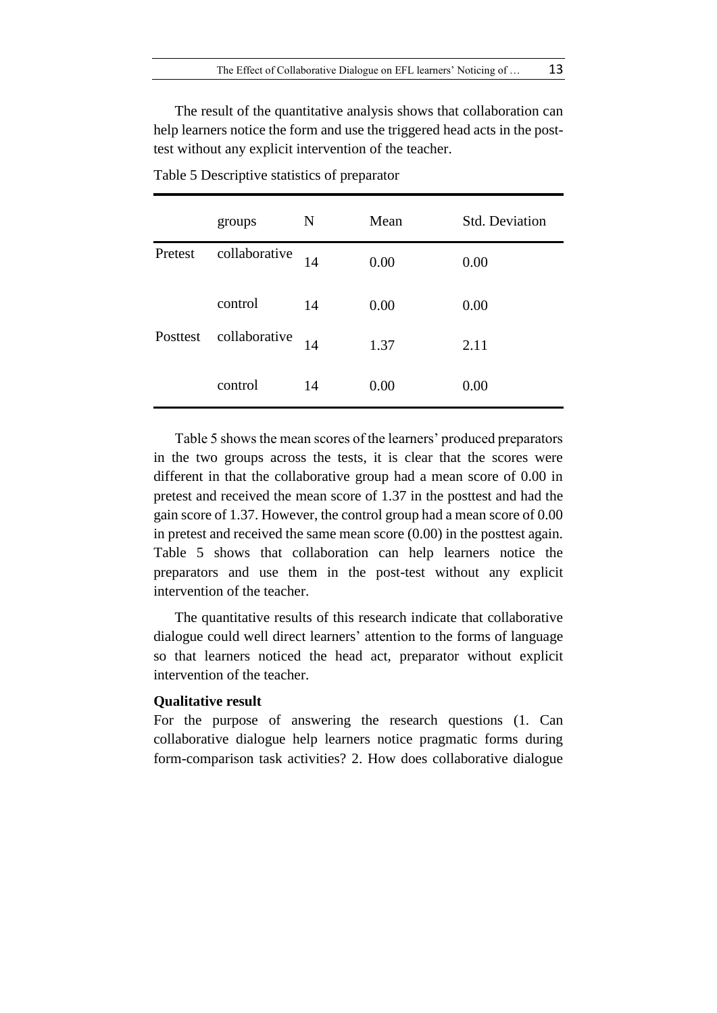The result of the quantitative analysis shows that collaboration can help learners notice the form and use the triggered head acts in the posttest without any explicit intervention of the teacher.

|          | groups        | N  | Mean | <b>Std. Deviation</b> |
|----------|---------------|----|------|-----------------------|
| Pretest  | collaborative | 14 | 0.00 | 0.00                  |
|          | control       | 14 | 0.00 | 0.00                  |
| Posttest | collaborative | 14 | 1.37 | 2.11                  |
|          | control       | 14 | 0.00 | 0.00                  |

Table 5 Descriptive statistics of preparator

Table 5 shows the mean scores of the learners' produced preparators in the two groups across the tests, it is clear that the scores were different in that the collaborative group had a mean score of 0.00 in pretest and received the mean score of 1.37 in the posttest and had the gain score of 1.37. However, the control group had a mean score of 0.00 in pretest and received the same mean score (0.00) in the posttest again. Table 5 shows that collaboration can help learners notice the preparators and use them in the post-test without any explicit intervention of the teacher.

The quantitative results of this research indicate that collaborative dialogue could well direct learners' attention to the forms of language so that learners noticed the head act, preparator without explicit intervention of the teacher.

#### **Qualitative result**

For the purpose of answering the research questions (1. Can collaborative dialogue help learners notice pragmatic forms during form-comparison task activities? 2. How does collaborative dialogue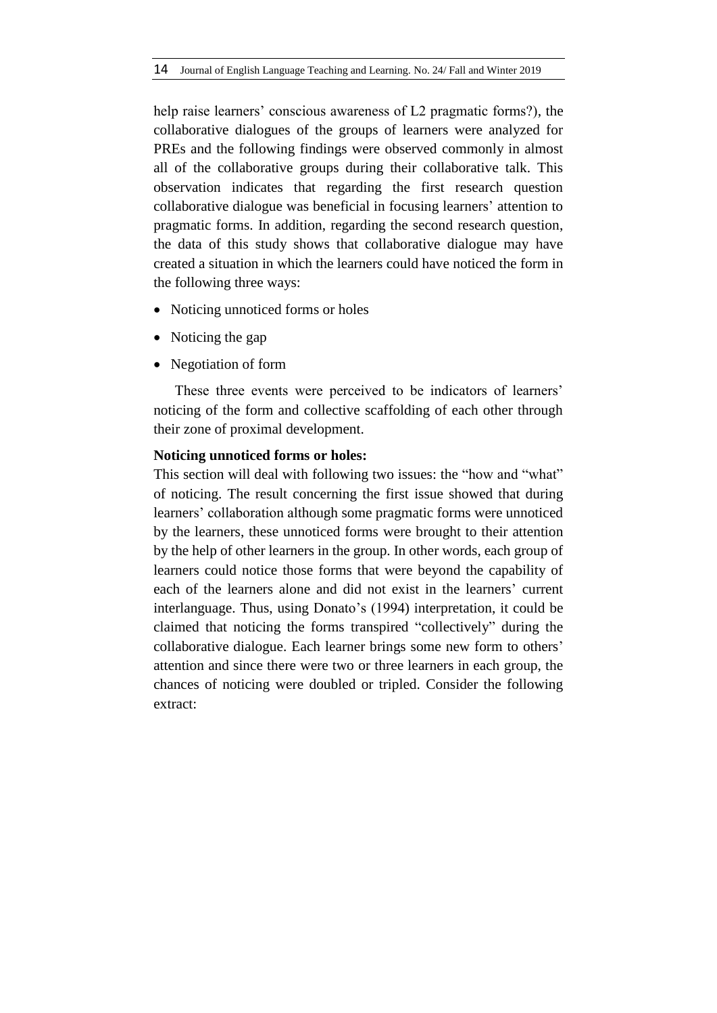help raise learners' conscious awareness of L2 pragmatic forms?), the collaborative dialogues of the groups of learners were analyzed for PREs and the following findings were observed commonly in almost all of the collaborative groups during their collaborative talk. This observation indicates that regarding the first research question collaborative dialogue was beneficial in focusing learners' attention to pragmatic forms. In addition, regarding the second research question, the data of this study shows that collaborative dialogue may have created a situation in which the learners could have noticed the form in the following three ways:

- Noticing unnoticed forms or holes
- Noticing the gap
- Negotiation of form

These three events were perceived to be indicators of learners' noticing of the form and collective scaffolding of each other through their zone of proximal development.

# **Noticing unnoticed forms or holes:**

This section will deal with following two issues: the "how and "what" of noticing. The result concerning the first issue showed that during learners' collaboration although some pragmatic forms were unnoticed by the learners, these unnoticed forms were brought to their attention by the help of other learners in the group. In other words, each group of learners could notice those forms that were beyond the capability of each of the learners alone and did not exist in the learners' current interlanguage. Thus, using Donato's (1994) interpretation, it could be claimed that noticing the forms transpired "collectively" during the collaborative dialogue. Each learner brings some new form to others' attention and since there were two or three learners in each group, the chances of noticing were doubled or tripled. Consider the following extract: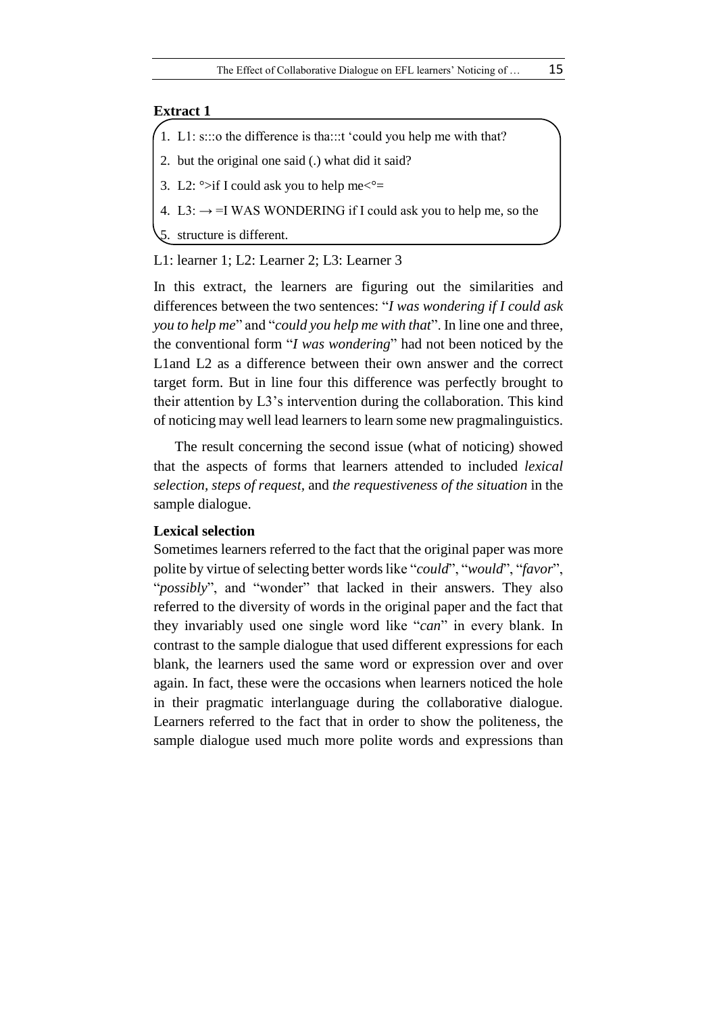# **Extract 1**

- 1. L1: s:::o the difference is tha:::t 'could you help me with that?
- 2. but the original one said (.) what did it said?
- 3. L2:  $\degree$ if I could ask you to help me< $\degree$ =
- 4. L3:  $\rightarrow$  =I WAS WONDERING if I could ask you to help me, so the
- 5. structure is different.

# L1: learner 1; L2: Learner 2; L3: Learner 3

In this extract, the learners are figuring out the similarities and differences between the two sentences: "*I was wondering if I could ask you to help me*" and "*could you help me with that*". In line one and three, the conventional form "*I was wondering*" had not been noticed by the L1and L2 as a difference between their own answer and the correct target form. But in line four this difference was perfectly brought to their attention by L3's intervention during the collaboration. This kind of noticing may well lead learners to learn some new pragmalinguistics.

The result concerning the second issue (what of noticing) showed that the aspects of forms that learners attended to included *lexical selection, steps of request,* and *the requestiveness of the situation* in the sample dialogue.

# **Lexical selection**

Sometimes learners referred to the fact that the original paper was more polite by virtue of selecting better wordslike "*could*", "*would*", "*favor*", "*possibly*", and "wonder" that lacked in their answers. They also referred to the diversity of words in the original paper and the fact that they invariably used one single word like "*can*" in every blank. In contrast to the sample dialogue that used different expressions for each blank, the learners used the same word or expression over and over again. In fact, these were the occasions when learners noticed the hole in their pragmatic interlanguage during the collaborative dialogue. Learners referred to the fact that in order to show the politeness, the sample dialogue used much more polite words and expressions than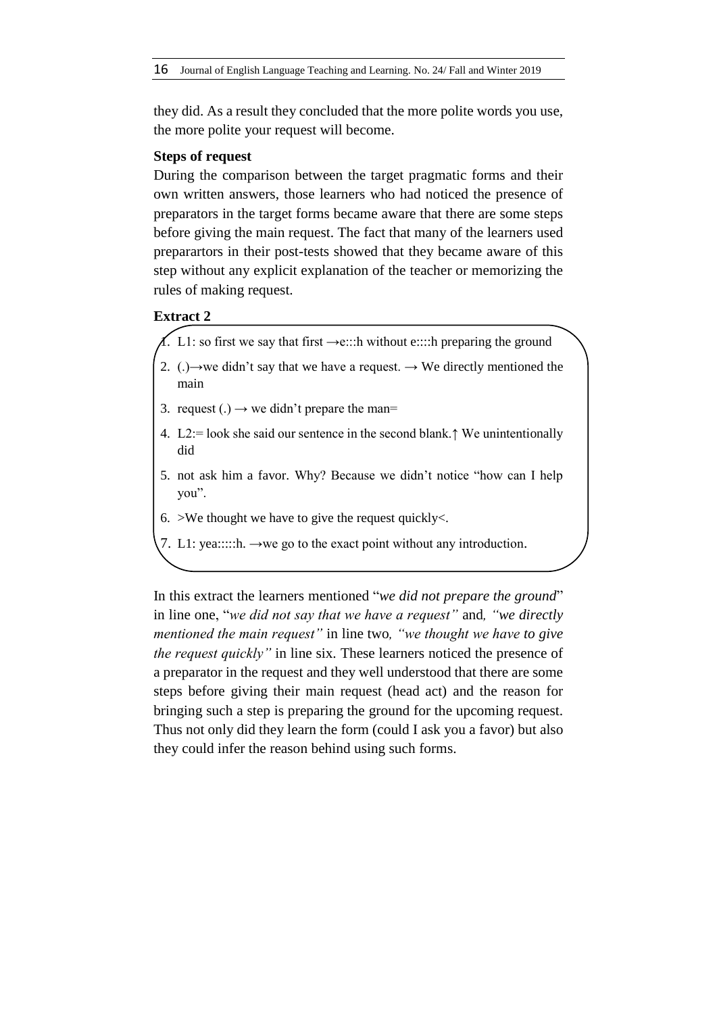they did. As a result they concluded that the more polite words you use, the more polite your request will become.

# **Steps of request**

During the comparison between the target pragmatic forms and their own written answers, those learners who had noticed the presence of preparators in the target forms became aware that there are some steps before giving the main request. The fact that many of the learners used preparartors in their post-tests showed that they became aware of this step without any explicit explanation of the teacher or memorizing the rules of making request.

# **Extract 2**

- 1. L1: so first we say that first  $\rightarrow$ e:::h without e::::h preparing the ground
- 2. (.)  $\rightarrow$  we didn't say that we have a request.  $\rightarrow$  We directly mentioned the main
- 3. request (.)  $\rightarrow$  we didn't prepare the man=
- 4. L2:= look she said our sentence in the second blank.↑ We unintentionally did
- 5. not ask him a favor. Why? Because we didn't notice "how can I help you".
- 6. > We thought we have to give the request quickly  $\lt$ .
- 7. L1: yea:::::h.  $\rightarrow$ we go to the exact point without any introduction.

In this extract the learners mentioned "*we did not prepare the ground*" in line one, "*we did not say that we have a request"* and*, "we directly mentioned the main request"* in line two*, "we thought we have to give the request quickly"* in line six*.* These learners noticed the presence of a preparator in the request and they well understood that there are some steps before giving their main request (head act) and the reason for bringing such a step is preparing the ground for the upcoming request. Thus not only did they learn the form (could I ask you a favor) but also they could infer the reason behind using such forms.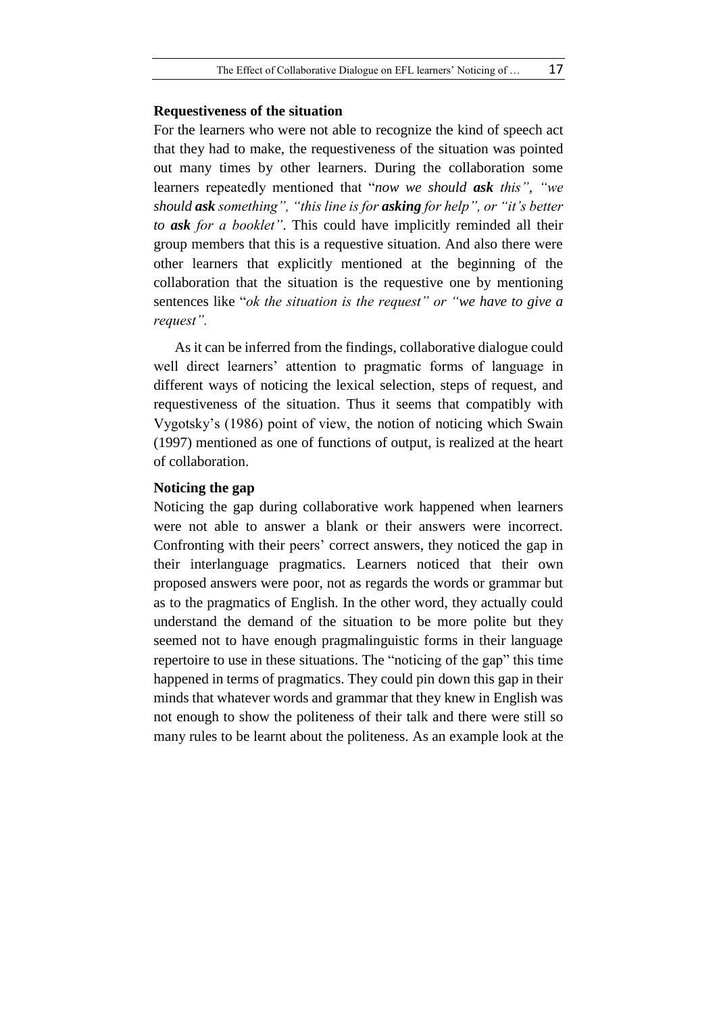### **Requestiveness of the situation**

For the learners who were not able to recognize the kind of speech act that they had to make, the requestiveness of the situation was pointed out many times by other learners. During the collaboration some learners repeatedly mentioned that "*now we should ask this", "we should ask something", "this line is for asking for help", or "it's better to ask for a booklet"*. This could have implicitly reminded all their group members that this is a requestive situation. And also there were other learners that explicitly mentioned at the beginning of the collaboration that the situation is the requestive one by mentioning sentences like "*ok the situation is the request" or "we have to give a request".*

As it can be inferred from the findings, collaborative dialogue could well direct learners' attention to pragmatic forms of language in different ways of noticing the lexical selection, steps of request, and requestiveness of the situation. Thus it seems that compatibly with Vygotsky's (1986) point of view, the notion of noticing which Swain (1997) mentioned as one of functions of output, is realized at the heart of collaboration.

# **Noticing the gap**

Noticing the gap during collaborative work happened when learners were not able to answer a blank or their answers were incorrect. Confronting with their peers' correct answers, they noticed the gap in their interlanguage pragmatics. Learners noticed that their own proposed answers were poor, not as regards the words or grammar but as to the pragmatics of English. In the other word, they actually could understand the demand of the situation to be more polite but they seemed not to have enough pragmalinguistic forms in their language repertoire to use in these situations. The "noticing of the gap" this time happened in terms of pragmatics. They could pin down this gap in their minds that whatever words and grammar that they knew in English was not enough to show the politeness of their talk and there were still so many rules to be learnt about the politeness. As an example look at the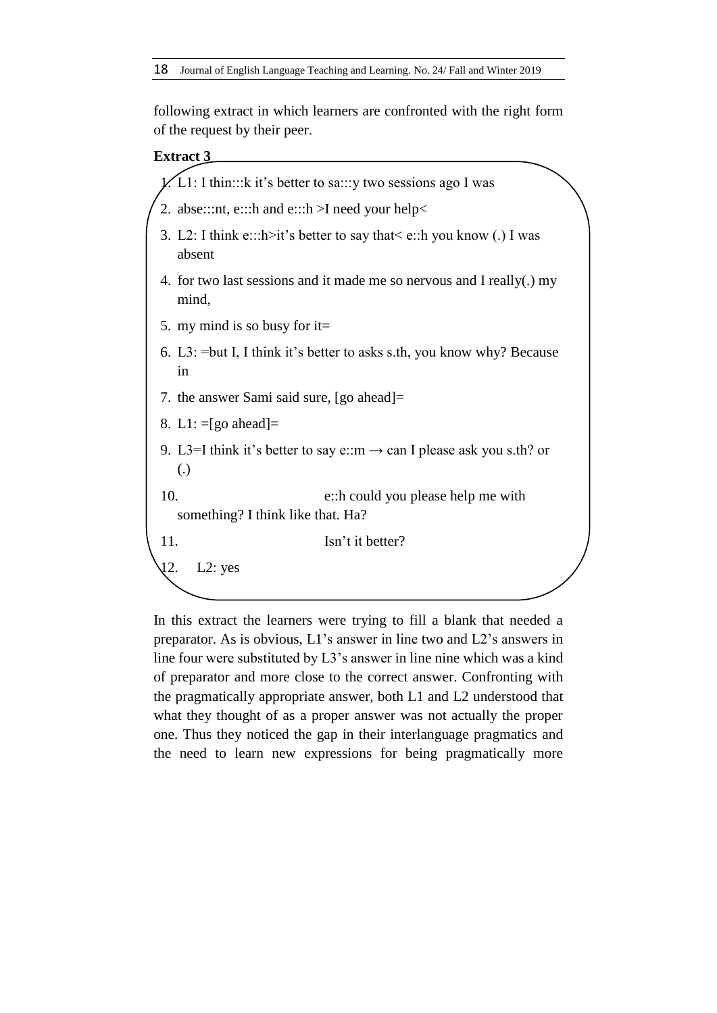following extract in which learners are confronted with the right form of the request by their peer.

# **Extract 3**



In this extract the learners were trying to fill a blank that needed a preparator. As is obvious, L1's answer in line two and L2's answers in line four were substituted by L3's answer in line nine which was a kind of preparator and more close to the correct answer. Confronting with the pragmatically appropriate answer, both L1 and L2 understood that what they thought of as a proper answer was not actually the proper one. Thus they noticed the gap in their interlanguage pragmatics and the need to learn new expressions for being pragmatically more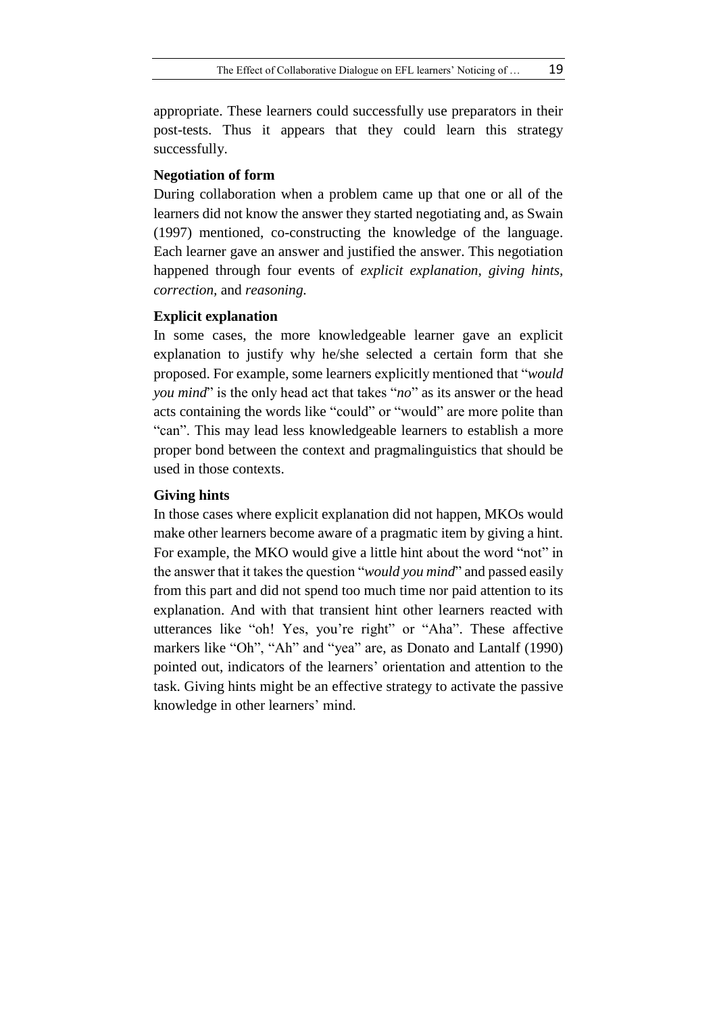appropriate. These learners could successfully use preparators in their post-tests. Thus it appears that they could learn this strategy successfully.

# **Negotiation of form**

During collaboration when a problem came up that one or all of the learners did not know the answer they started negotiating and, as Swain (1997) mentioned, co-constructing the knowledge of the language. Each learner gave an answer and justified the answer. This negotiation happened through four events of *explicit explanation, giving hints, correction,* and *reasoning.* 

# **Explicit explanation**

In some cases, the more knowledgeable learner gave an explicit explanation to justify why he/she selected a certain form that she proposed. For example, some learners explicitly mentioned that "*would you mind*" is the only head act that takes "*no*" as its answer or the head acts containing the words like "could" or "would" are more polite than "can". This may lead less knowledgeable learners to establish a more proper bond between the context and pragmalinguistics that should be used in those contexts.

# **Giving hints**

In those cases where explicit explanation did not happen, MKOs would make other learners become aware of a pragmatic item by giving a hint. For example, the MKO would give a little hint about the word "not" in the answer that it takes the question "*would you mind*" and passed easily from this part and did not spend too much time nor paid attention to its explanation. And with that transient hint other learners reacted with utterances like "oh! Yes, you're right" or "Aha". These affective markers like "Oh", "Ah" and "yea" are, as Donato and Lantalf (1990) pointed out, indicators of the learners' orientation and attention to the task. Giving hints might be an effective strategy to activate the passive knowledge in other learners' mind.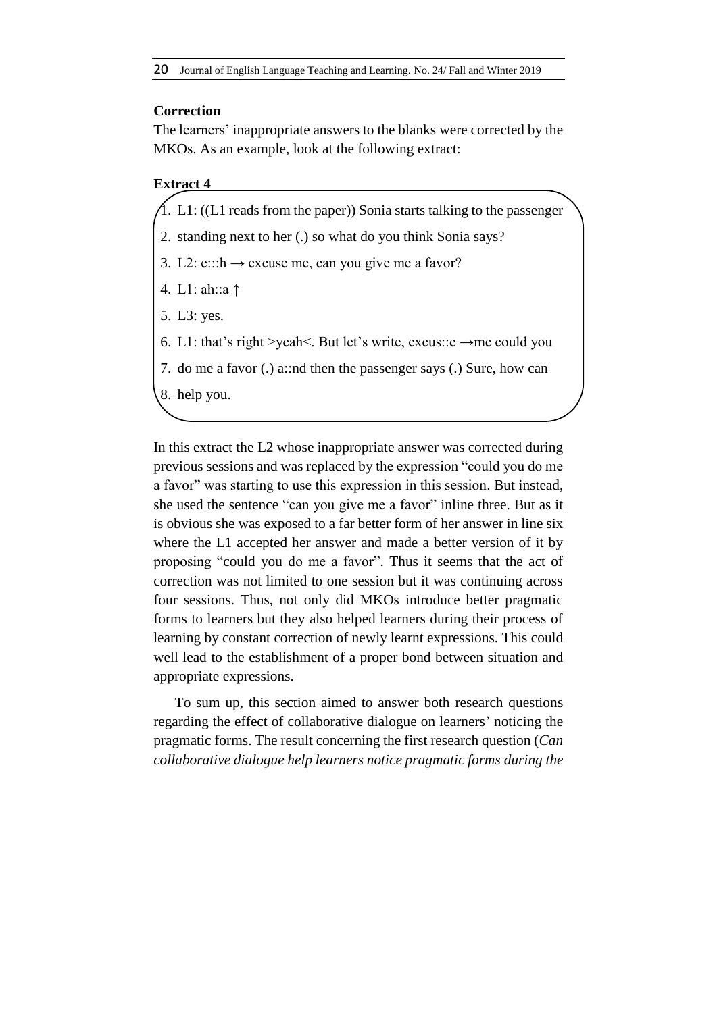# **Correction**

The learners' inappropriate answers to the blanks were corrected by the MKOs. As an example, look at the following extract:

#### **Extract 4**

- 1. L1: ((L1 reads from the paper)) Sonia starts talking to the passenger
- 2. standing next to her (.) so what do you think Sonia says?
- 3. L2: e:::h  $\rightarrow$  excuse me, can you give me a favor?
- 4. L1: ah::a ↑
- 5. L3: yes.
- 6. L1: that's right >yeah <. But let's write, excus::  $e \rightarrow me$  could you
- 7. do me a favor (.) a::nd then the passenger says (.) Sure, how can
- 8. help you.

In this extract the L2 whose inappropriate answer was corrected during previous sessions and was replaced by the expression "could you do me a favor" was starting to use this expression in this session. But instead, she used the sentence "can you give me a favor" inline three. But as it is obvious she was exposed to a far better form of her answer in line six where the L1 accepted her answer and made a better version of it by proposing "could you do me a favor". Thus it seems that the act of correction was not limited to one session but it was continuing across four sessions. Thus, not only did MKOs introduce better pragmatic forms to learners but they also helped learners during their process of learning by constant correction of newly learnt expressions. This could well lead to the establishment of a proper bond between situation and appropriate expressions.

To sum up, this section aimed to answer both research questions regarding the effect of collaborative dialogue on learners' noticing the pragmatic forms. The result concerning the first research question (*Can collaborative dialogue help learners notice pragmatic forms during the*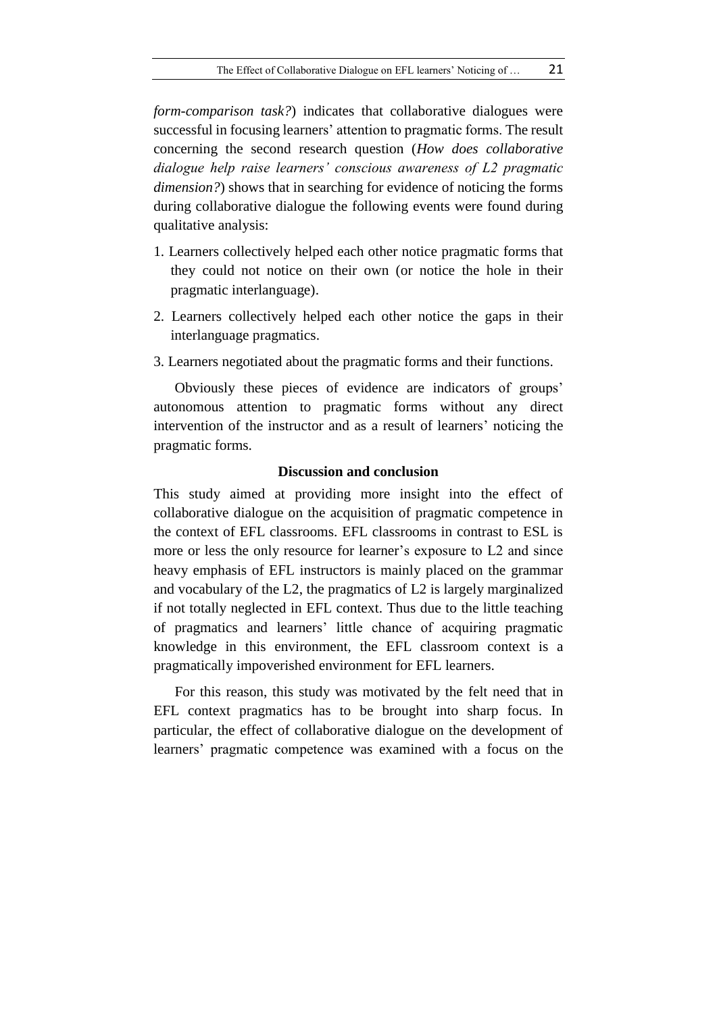*form-comparison task?*) indicates that collaborative dialogues were successful in focusing learners' attention to pragmatic forms. The result concerning the second research question (*How does collaborative dialogue help raise learners' conscious awareness of L2 pragmatic dimension?*) shows that in searching for evidence of noticing the forms during collaborative dialogue the following events were found during qualitative analysis:

- 1. Learners collectively helped each other notice pragmatic forms that they could not notice on their own (or notice the hole in their pragmatic interlanguage).
- 2. Learners collectively helped each other notice the gaps in their interlanguage pragmatics.
- 3. Learners negotiated about the pragmatic forms and their functions.

Obviously these pieces of evidence are indicators of groups' autonomous attention to pragmatic forms without any direct intervention of the instructor and as a result of learners' noticing the pragmatic forms.

# **Discussion and conclusion**

This study aimed at providing more insight into the effect of collaborative dialogue on the acquisition of pragmatic competence in the context of EFL classrooms. EFL classrooms in contrast to ESL is more or less the only resource for learner's exposure to L2 and since heavy emphasis of EFL instructors is mainly placed on the grammar and vocabulary of the L2, the pragmatics of L2 is largely marginalized if not totally neglected in EFL context. Thus due to the little teaching of pragmatics and learners' little chance of acquiring pragmatic knowledge in this environment, the EFL classroom context is a pragmatically impoverished environment for EFL learners.

For this reason, this study was motivated by the felt need that in EFL context pragmatics has to be brought into sharp focus. In particular, the effect of collaborative dialogue on the development of learners' pragmatic competence was examined with a focus on the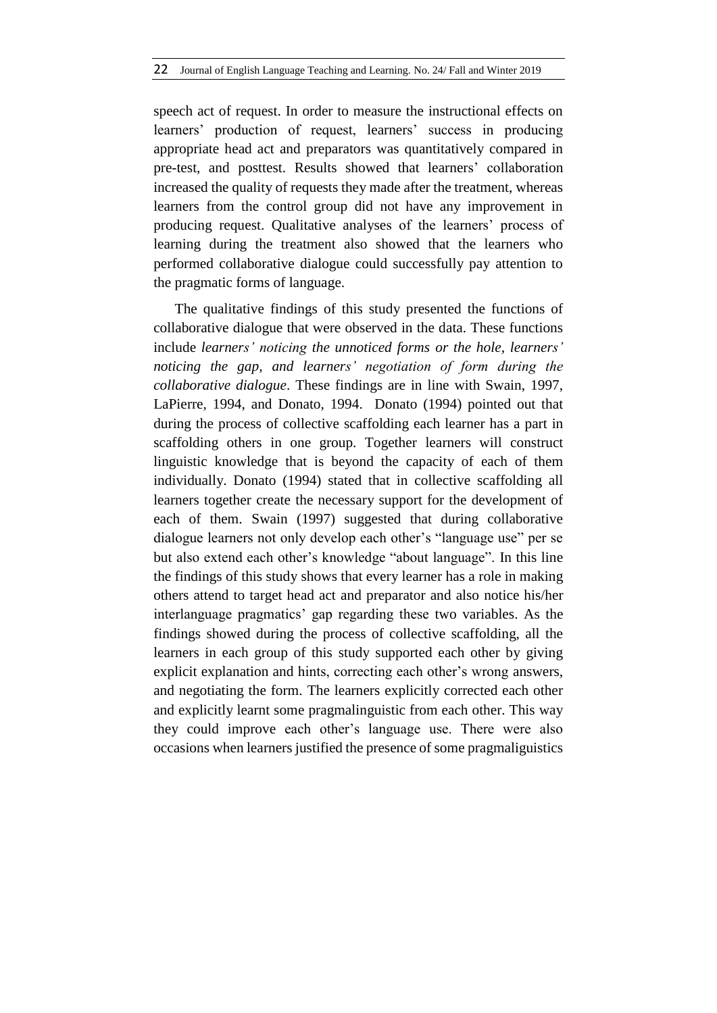speech act of request. In order to measure the instructional effects on learners' production of request, learners' success in producing appropriate head act and preparators was quantitatively compared in pre-test, and posttest. Results showed that learners' collaboration increased the quality of requests they made after the treatment, whereas learners from the control group did not have any improvement in producing request. Qualitative analyses of the learners' process of learning during the treatment also showed that the learners who performed collaborative dialogue could successfully pay attention to the pragmatic forms of language.

The qualitative findings of this study presented the functions of collaborative dialogue that were observed in the data. These functions include *learners' noticing the unnoticed forms or the hole, learners' noticing the gap, and learners' negotiation of form during the collaborative dialogue*. These findings are in line with Swain, 1997, LaPierre, 1994, and Donato, 1994. Donato (1994) pointed out that during the process of collective scaffolding each learner has a part in scaffolding others in one group. Together learners will construct linguistic knowledge that is beyond the capacity of each of them individually. Donato (1994) stated that in collective scaffolding all learners together create the necessary support for the development of each of them. Swain (1997) suggested that during collaborative dialogue learners not only develop each other's "language use" per se but also extend each other's knowledge "about language". In this line the findings of this study shows that every learner has a role in making others attend to target head act and preparator and also notice his/her interlanguage pragmatics' gap regarding these two variables. As the findings showed during the process of collective scaffolding, all the learners in each group of this study supported each other by giving explicit explanation and hints, correcting each other's wrong answers, and negotiating the form. The learners explicitly corrected each other and explicitly learnt some pragmalinguistic from each other. This way they could improve each other's language use. There were also occasions when learners justified the presence of some pragmaliguistics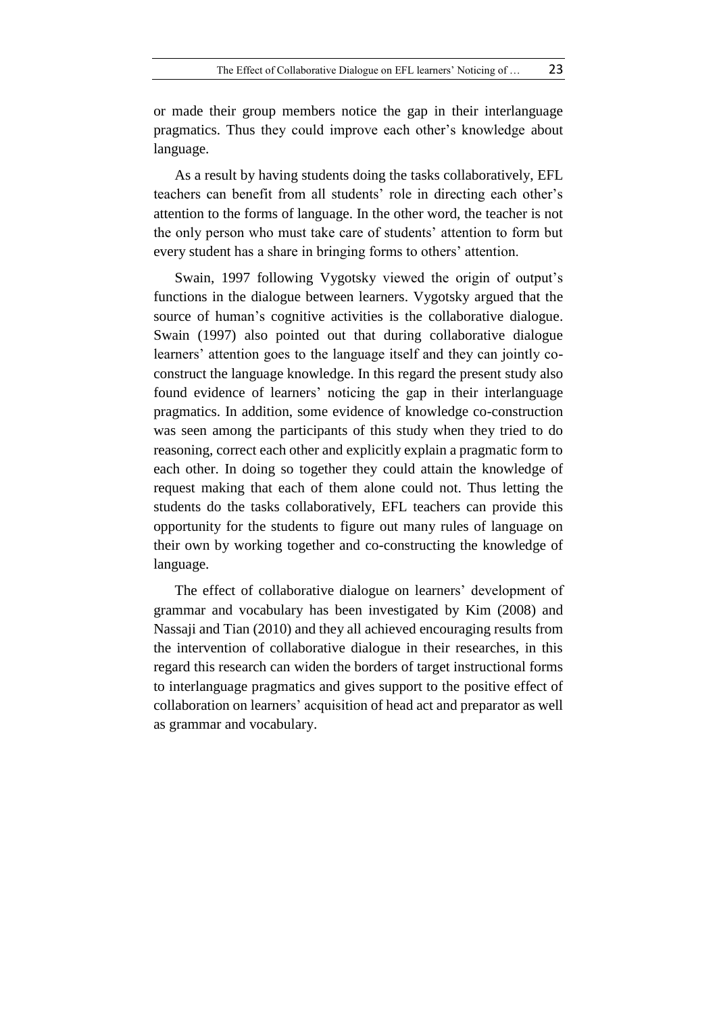or made their group members notice the gap in their interlanguage pragmatics. Thus they could improve each other's knowledge about language.

As a result by having students doing the tasks collaboratively, EFL teachers can benefit from all students' role in directing each other's attention to the forms of language. In the other word, the teacher is not the only person who must take care of students' attention to form but every student has a share in bringing forms to others' attention.

Swain, 1997 following Vygotsky viewed the origin of output's functions in the dialogue between learners. Vygotsky argued that the source of human's cognitive activities is the collaborative dialogue. Swain (1997) also pointed out that during collaborative dialogue learners' attention goes to the language itself and they can jointly coconstruct the language knowledge. In this regard the present study also found evidence of learners' noticing the gap in their interlanguage pragmatics. In addition, some evidence of knowledge co-construction was seen among the participants of this study when they tried to do reasoning, correct each other and explicitly explain a pragmatic form to each other. In doing so together they could attain the knowledge of request making that each of them alone could not. Thus letting the students do the tasks collaboratively, EFL teachers can provide this opportunity for the students to figure out many rules of language on their own by working together and co-constructing the knowledge of language.

The effect of collaborative dialogue on learners' development of grammar and vocabulary has been investigated by Kim (2008) and Nassaji and Tian (2010) and they all achieved encouraging results from the intervention of collaborative dialogue in their researches, in this regard this research can widen the borders of target instructional forms to interlanguage pragmatics and gives support to the positive effect of collaboration on learners' acquisition of head act and preparator as well as grammar and vocabulary.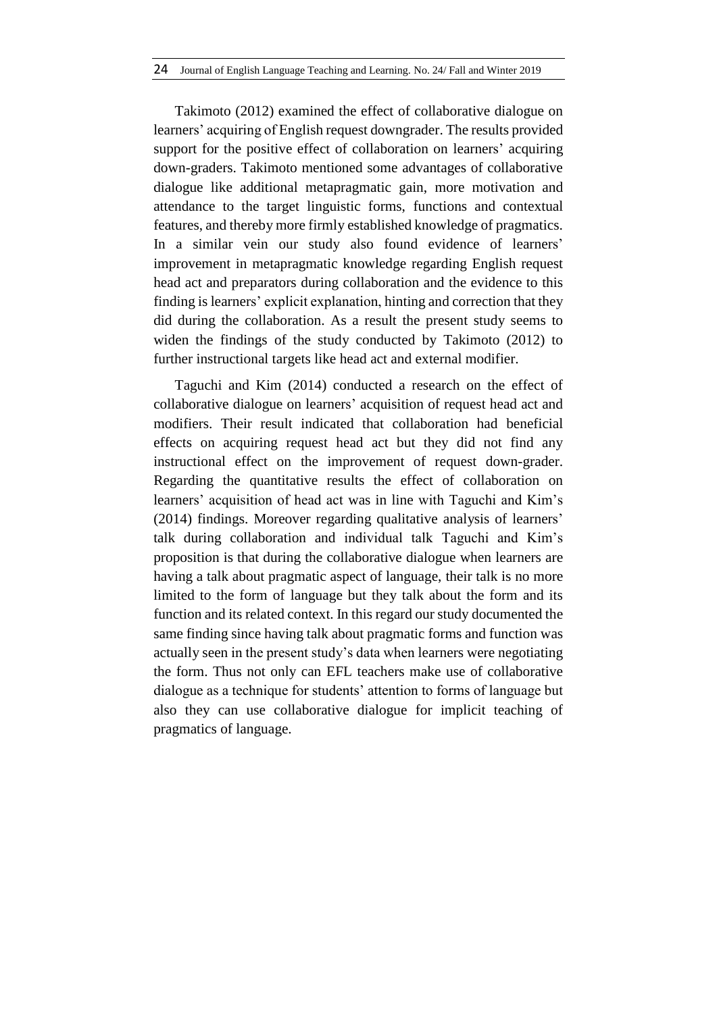Takimoto (2012) examined the effect of collaborative dialogue on learners' acquiring of English request downgrader. The results provided support for the positive effect of collaboration on learners' acquiring down-graders. Takimoto mentioned some advantages of collaborative dialogue like additional metapragmatic gain, more motivation and attendance to the target linguistic forms, functions and contextual features, and thereby more firmly established knowledge of pragmatics. In a similar vein our study also found evidence of learners' improvement in metapragmatic knowledge regarding English request head act and preparators during collaboration and the evidence to this finding is learners' explicit explanation, hinting and correction that they did during the collaboration. As a result the present study seems to widen the findings of the study conducted by Takimoto (2012) to further instructional targets like head act and external modifier.

Taguchi and Kim (2014) conducted a research on the effect of collaborative dialogue on learners' acquisition of request head act and modifiers. Their result indicated that collaboration had beneficial effects on acquiring request head act but they did not find any instructional effect on the improvement of request down-grader. Regarding the quantitative results the effect of collaboration on learners' acquisition of head act was in line with Taguchi and Kim's (2014) findings. Moreover regarding qualitative analysis of learners' talk during collaboration and individual talk Taguchi and Kim's proposition is that during the collaborative dialogue when learners are having a talk about pragmatic aspect of language, their talk is no more limited to the form of language but they talk about the form and its function and its related context. In this regard our study documented the same finding since having talk about pragmatic forms and function was actually seen in the present study's data when learners were negotiating the form. Thus not only can EFL teachers make use of collaborative dialogue as a technique for students' attention to forms of language but also they can use collaborative dialogue for implicit teaching of pragmatics of language.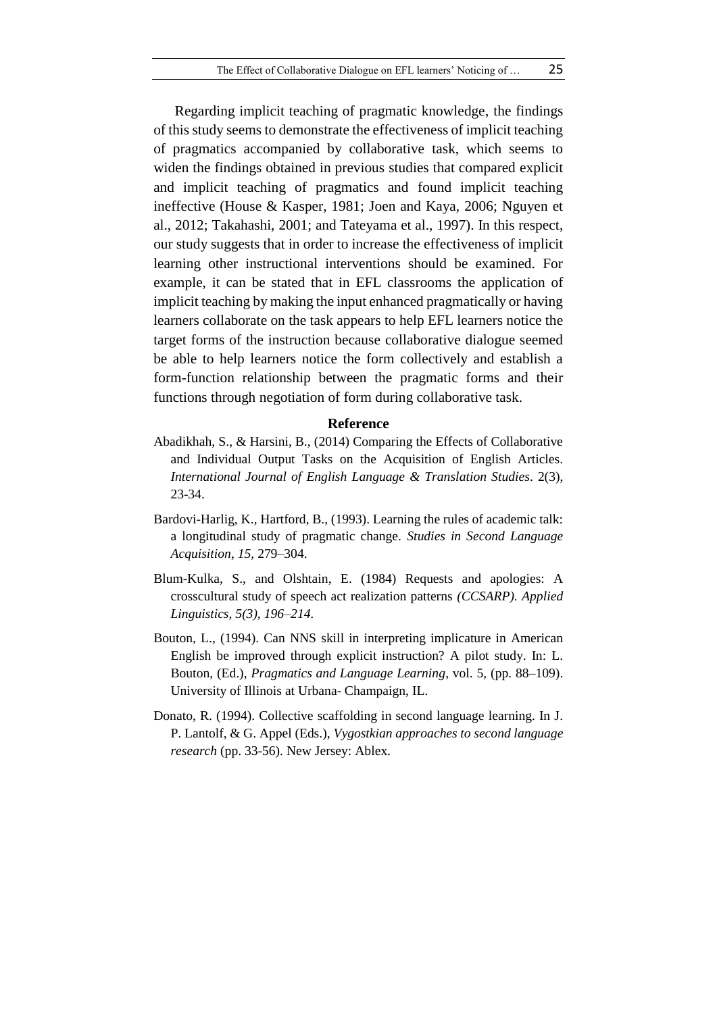Regarding implicit teaching of pragmatic knowledge, the findings of this study seems to demonstrate the effectiveness of implicit teaching of pragmatics accompanied by collaborative task, which seems to widen the findings obtained in previous studies that compared explicit and implicit teaching of pragmatics and found implicit teaching ineffective (House & Kasper, 1981; Joen and Kaya, 2006; Nguyen et al., 2012; Takahashi, 2001; and Tateyama et al., 1997). In this respect, our study suggests that in order to increase the effectiveness of implicit learning other instructional interventions should be examined. For example, it can be stated that in EFL classrooms the application of implicit teaching by making the input enhanced pragmatically or having learners collaborate on the task appears to help EFL learners notice the target forms of the instruction because collaborative dialogue seemed be able to help learners notice the form collectively and establish a form-function relationship between the pragmatic forms and their functions through negotiation of form during collaborative task.

#### **Reference**

- Abadikhah, S., & Harsini, B., (2014) Comparing the Effects of Collaborative and Individual Output Tasks on the Acquisition of English Articles. *International Journal of English Language & Translation Studies*. 2(3), 23-34.
- Bardovi-Harlig, K., Hartford, B., (1993). Learning the rules of academic talk: a longitudinal study of pragmatic change. *Studies in Second Language Acquisition*, *15*, 279–304.
- Blum-Kulka, S., and Olshtain, E. (1984) Requests and apologies: A crosscultural study of speech act realization patterns *(CCSARP). Applied Linguistics, 5(3), 196–214.*
- Bouton, L., (1994). Can NNS skill in interpreting implicature in American English be improved through explicit instruction? A pilot study. In: L. Bouton, (Ed.), *Pragmatics and Language Learning*, vol. 5, (pp. 88–109). University of Illinois at Urbana- Champaign, IL.
- Donato, R. (1994). Collective scaffolding in second language learning. In J. P. Lantolf, & G. Appel (Eds.), *Vygostkian approaches to second language research* (pp. 33-56). New Jersey: Ablex.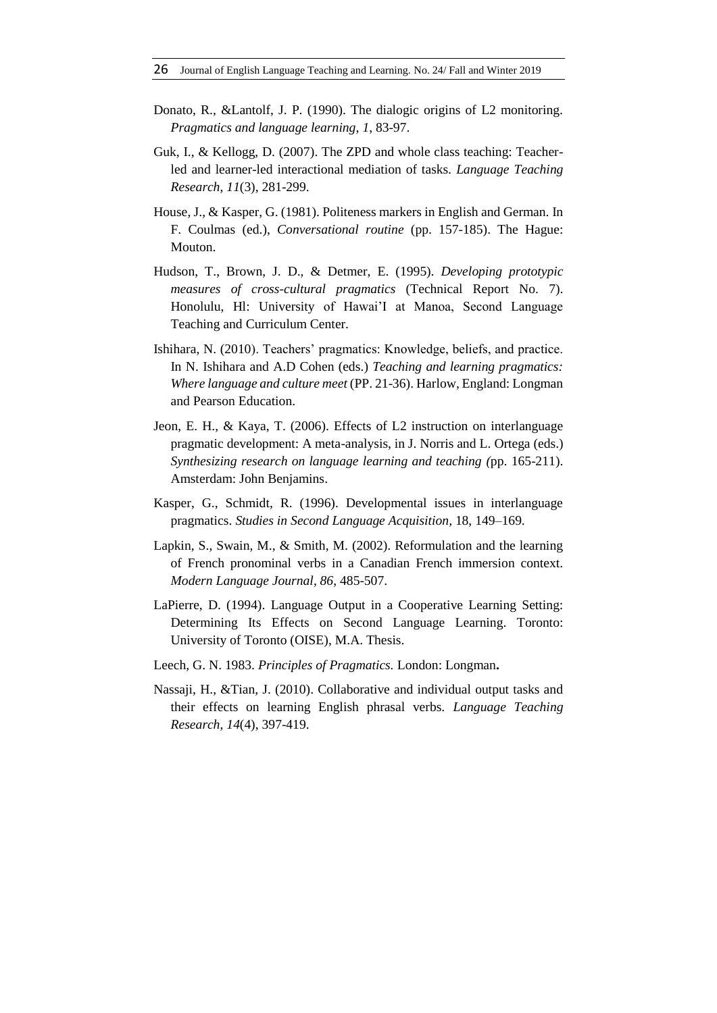- Donato, R., &Lantolf, J. P. (1990). The dialogic origins of L2 monitoring. *Pragmatics and language learning*, *1*, 83-97.
- Guk, I., & Kellogg, D. (2007). The ZPD and whole class teaching: Teacherled and learner-led interactional mediation of tasks. *Language Teaching Research*, *11*(3), 281-299.
- House, J., & Kasper, G. (1981). Politeness markers in English and German. In F. Coulmas (ed.), *Conversational routine* (pp. 157-185). The Hague: Mouton.
- Hudson, T., Brown, J. D., & Detmer, E. (1995). *Developing prototypic measures of cross-cultural pragmatics* (Technical Report No. 7). Honolulu, Hl: University of Hawai'I at Manoa, Second Language Teaching and Curriculum Center.
- Ishihara, N. (2010). Teachers' pragmatics: Knowledge, beliefs, and practice. In N. Ishihara and A.D Cohen (eds.) *Teaching and learning pragmatics: Where language and culture meet* (PP. 21-36). Harlow, England: Longman and Pearson Education.
- Jeon, E. H., & Kaya, T. (2006). Effects of L2 instruction on interlanguage pragmatic development: A meta-analysis, in J. Norris and L. Ortega (eds.) *Synthesizing research on language learning and teaching (*pp. 165-211). Amsterdam: John Benjamins.
- Kasper, G., Schmidt, R. (1996). Developmental issues in interlanguage pragmatics. *Studies in Second Language Acquisition,* 18, 149–169.
- Lapkin, S., Swain, M., & Smith, M. (2002). Reformulation and the learning of French pronominal verbs in a Canadian French immersion context. *Modern Language Journal*, *86*, 485-507.
- LaPierre, D. (1994). Language Output in a Cooperative Learning Setting: Determining Its Effects on Second Language Learning. Toronto: University of Toronto (OISE), M.A. Thesis.
- Leech, G. N. 1983. *Principles of Pragmatics.* London: Longman**.**
- Nassaji, H., &Tian, J. (2010). Collaborative and individual output tasks and their effects on learning English phrasal verbs. *Language Teaching Research*, *14*(4), 397-419.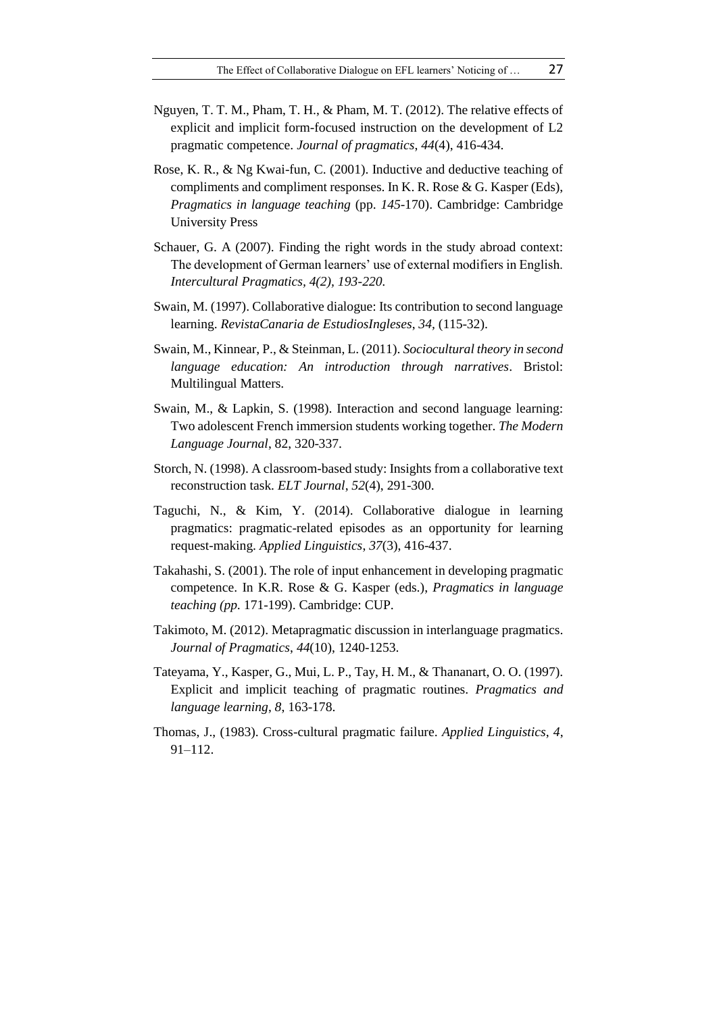- Nguyen, T. T. M., Pham, T. H., & Pham, M. T. (2012). The relative effects of explicit and implicit form-focused instruction on the development of L2 pragmatic competence. *Journal of pragmatics*, *44*(4), 416-434.
- Rose, K. R., & Ng Kwai-fun, C. (2001). Inductive and deductive teaching of compliments and compliment responses. In K. R. Rose & G. Kasper (Eds), *Pragmatics in language teaching* (pp. *145*-170). Cambridge: Cambridge University Press
- Schauer, G. A (2007). Finding the right words in the study abroad context: The development of German learners' use of external modifiers in English. *Intercultural Pragmatics, 4(2), 193-220.*
- Swain, M. (1997). Collaborative dialogue: Its contribution to second language learning. *RevistaCanaria de EstudiosIngleses*, *34,* (115-32).
- Swain, M., Kinnear, P., & Steinman, L. (2011). *Sociocultural theory in second language education: An introduction through narratives*. Bristol: Multilingual Matters.
- Swain, M., & Lapkin, S. (1998). Interaction and second language learning: Two adolescent French immersion students working together. *The Modern Language Journal*, 82, 320-337.
- Storch, N. (1998). A classroom-based study: Insights from a collaborative text reconstruction task. *ELT Journal*, *52*(4), 291-300.
- Taguchi, N., & Kim, Y. (2014). Collaborative dialogue in learning pragmatics: pragmatic-related episodes as an opportunity for learning request-making. *Applied Linguistics*, *37*(3), 416-437.
- Takahashi, S. (2001). The role of input enhancement in developing pragmatic competence. In K.R. Rose & G. Kasper (eds.), *Pragmatics in language teaching (pp.* 171-199). Cambridge: CUP.
- Takimoto, M. (2012). Metapragmatic discussion in interlanguage pragmatics. *Journal of Pragmatics*, *44*(10), 1240-1253.
- Tateyama, Y., Kasper, G., Mui, L. P., Tay, H. M., & Thananart, O. O. (1997). Explicit and implicit teaching of pragmatic routines. *Pragmatics and language learning*, *8*, 163-178.
- Thomas, J., (1983). Cross-cultural pragmatic failure. *Applied Linguistics*, *4*, 91–112.